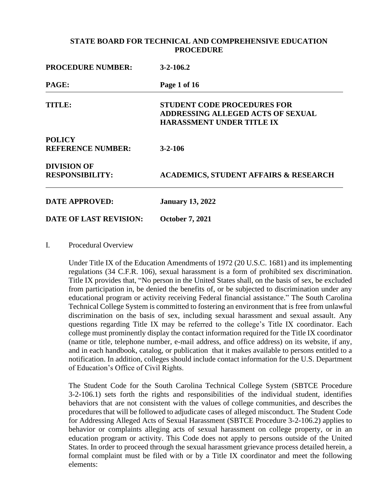| <b>PROCEDURE NUMBER:</b>                     | $3 - 2 - 106.2$                                                                                                    |  |
|----------------------------------------------|--------------------------------------------------------------------------------------------------------------------|--|
| PAGE:                                        | Page 1 of 16                                                                                                       |  |
| TITLE:                                       | <b>STUDENT CODE PROCEDURES FOR</b><br><b>ADDRESSING ALLEGED ACTS OF SEXUAL</b><br><b>HARASSMENT UNDER TITLE IX</b> |  |
| <b>POLICY</b>                                |                                                                                                                    |  |
| <b>REFERENCE NUMBER:</b>                     | $3 - 2 - 106$                                                                                                      |  |
| <b>DIVISION OF</b><br><b>RESPONSIBILITY:</b> | <b>ACADEMICS, STUDENT AFFAIRS &amp; RESEARCH</b>                                                                   |  |
| <b>DATE APPROVED:</b>                        | <b>January 13, 2022</b>                                                                                            |  |
| <b>DATE OF LAST REVISION:</b>                | <b>October 7, 2021</b>                                                                                             |  |

I. Procedural Overview

Under Title IX of the Education Amendments of 1972 (20 U.S.C. 1681) and its implementing regulations (34 C.F.R. 106), sexual harassment is a form of prohibited sex discrimination. Title IX provides that, "No person in the United States shall, on the basis of sex, be excluded from participation in, be denied the benefits of, or be subjected to discrimination under any educational program or activity receiving Federal financial assistance." The South Carolina Technical College System is committed to fostering an environment that is free from unlawful discrimination on the basis of sex, including sexual harassment and sexual assault. Any questions regarding Title IX may be referred to the college's Title IX coordinator. Each college must prominently display the contact information required for the Title IX coordinator (name or title, telephone number, e-mail address, and office address) on its website, if any, and in each handbook, catalog, or publication that it makes available to persons entitled to a notification. In addition, colleges should include contact information for the U.S. Department of Education's Office of Civil Rights.

The Student Code for the South Carolina Technical College System (SBTCE Procedure 3-2-106.1) sets forth the rights and responsibilities of the individual student, identifies behaviors that are not consistent with the values of college communities, and describes the procedures that will be followed to adjudicate cases of alleged misconduct. The Student Code for Addressing Alleged Acts of Sexual Harassment (SBTCE Procedure 3-2-106.2) applies to behavior or complaints alleging acts of sexual harassment on college property, or in an education program or activity. This Code does not apply to persons outside of the United States. In order to proceed through the sexual harassment grievance process detailed herein, a formal complaint must be filed with or by a Title IX coordinator and meet the following elements: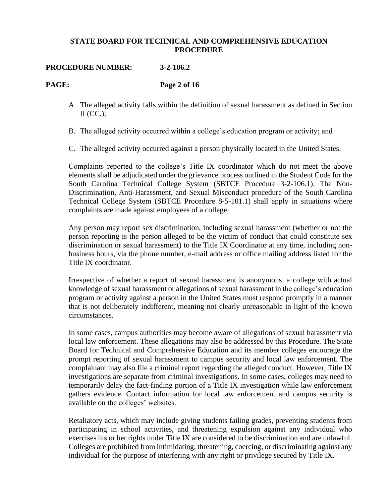#### **PROCEDURE NUMBER: 3-2-106.2**

**PAGE: Page 2 of 16**

- A. The alleged activity falls within the definition of sexual harassment as defined in Section  $II$  (CC.):
- B. The alleged activity occurred within a college's education program or activity; and
- C. The alleged activity occurred against a person physically located in the United States.

Complaints reported to the college's Title IX coordinator which do not meet the above elements shall be adjudicated under the grievance process outlined in the Student Code for the South Carolina Technical College System (SBTCE Procedure 3-2-106.1). The Non-Discrimination, Anti-Harassment, and Sexual Misconduct procedure of the South Carolina Technical College System (SBTCE Procedure 8-5-101.1) shall apply in situations where complaints are made against employees of a college.

Any person may report sex discrimination, including sexual harassment (whether or not the person reporting is the person alleged to be the victim of conduct that could constitute sex discrimination or sexual harassment) to the Title IX Coordinator at any time, including nonbusiness hours, via the phone number, e-mail address or office mailing address listed for the Title IX coordinator.

Irrespective of whether a report of sexual harassment is anonymous, a college with actual knowledge of sexual harassment or allegations of sexual harassment in the college's education program or activity against a person in the United States must respond promptly in a manner that is not deliberately indifferent, meaning not clearly unreasonable in light of the known circumstances.

In some cases, campus authorities may become aware of allegations of sexual harassment via local law enforcement. These allegations may also be addressed by this Procedure. The State Board for Technical and Comprehensive Education and its member colleges encourage the prompt reporting of sexual harassment to campus security and local law enforcement. The complainant may also file a criminal report regarding the alleged conduct. However, Title IX investigations are separate from criminal investigations. In some cases, colleges may need to temporarily delay the fact-finding portion of a Title IX investigation while law enforcement gathers evidence. Contact information for local law enforcement and campus security is available on the colleges' websites.

Retaliatory acts, which may include giving students failing grades, preventing students from participating in school activities, and threatening expulsion against any individual who exercises his or her rights under Title IX are considered to be discrimination and are unlawful. Colleges are prohibited from intimidating, threatening, coercing, or discriminating against any individual for the purpose of interfering with any right or privilege secured by Title IX.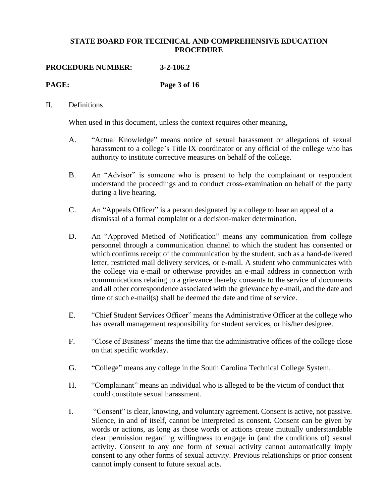| <b>PROCEDURE NUMBER:</b> | $3 - 2 - 106.2$ |  |
|--------------------------|-----------------|--|
| PAGE:                    | Page 3 of 16    |  |
|                          |                 |  |

#### II. Definitions

When used in this document, unless the context requires other meaning,

- A. "Actual Knowledge" means notice of sexual harassment or allegations of sexual harassment to a college's Title IX coordinator or any official of the college who has authority to institute corrective measures on behalf of the college.
- B. An "Advisor" is someone who is present to help the complainant or respondent understand the proceedings and to conduct cross-examination on behalf of the party during a live hearing.
- C. An "Appeals Officer" is a person designated by a college to hear an appeal of a dismissal of a formal complaint or a decision-maker determination.
- D. An "Approved Method of Notification" means any communication from college personnel through a communication channel to which the student has consented or which confirms receipt of the communication by the student, such as a hand-delivered letter, restricted mail delivery services, or e-mail. A student who communicates with the college via e-mail or otherwise provides an e-mail address in connection with communications relating to a grievance thereby consents to the service of documents and all other correspondence associated with the grievance by e-mail, and the date and time of such e-mail(s) shall be deemed the date and time of service.
- E. "Chief Student Services Officer" means the Administrative Officer at the college who has overall management responsibility for student services, or his/her designee.
- F. "Close of Business" means the time that the administrative offices of the college close on that specific workday.
- G. "College" means any college in the South Carolina Technical College System.
- H. "Complainant" means an individual who is alleged to be the victim of conduct that could constitute sexual harassment.
- I. "Consent" is clear, knowing, and voluntary agreement. Consent is active, not passive. Silence, in and of itself, cannot be interpreted as consent. Consent can be given by words or actions, as long as those words or actions create mutually understandable clear permission regarding willingness to engage in (and the conditions of) sexual activity. Consent to any one form of sexual activity cannot automatically imply consent to any other forms of sexual activity. Previous relationships or prior consent cannot imply consent to future sexual acts.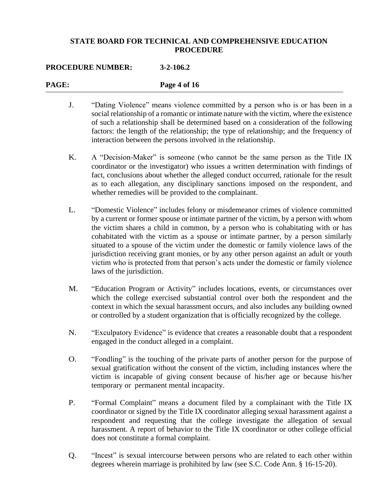## **PROCEDURE NUMBER: 3-2-106.2**

| PAGE: | Page 4 of 16                                                                                                                                                                                                                                                                                                                                                                                                                                                                                                                                                                                                                                               |
|-------|------------------------------------------------------------------------------------------------------------------------------------------------------------------------------------------------------------------------------------------------------------------------------------------------------------------------------------------------------------------------------------------------------------------------------------------------------------------------------------------------------------------------------------------------------------------------------------------------------------------------------------------------------------|
| J.    | "Dating Violence" means violence committed by a person who is or has been in a<br>social relationship of a romantic or intimate nature with the victim, where the existence<br>of such a relationship shall be determined based on a consideration of the following<br>factors: the length of the relationship; the type of relationship; and the frequency of<br>interaction between the persons involved in the relationship.                                                                                                                                                                                                                            |
| K.    | A "Decision-Maker" is someone (who cannot be the same person as the Title IX<br>coordinator or the investigator) who issues a written determination with findings of<br>fact, conclusions about whether the alleged conduct occurred, rationale for the result<br>as to each allegation, any disciplinary sanctions imposed on the respondent, and<br>whether remedies will be provided to the complainant.                                                                                                                                                                                                                                                |
| L.    | "Domestic Violence" includes felony or misdemeanor crimes of violence committed<br>by a current or former spouse or intimate partner of the victim, by a person with whom<br>the victim shares a child in common, by a person who is cohabitating with or has<br>cohabitated with the victim as a spouse or intimate partner, by a person similarly<br>situated to a spouse of the victim under the domestic or family violence laws of the<br>jurisdiction receiving grant monies, or by any other person against an adult or youth<br>victim who is protected from that person's acts under the domestic or family violence<br>laws of the jurisdiction. |
| M.    | "Education Program or Activity" includes locations, events, or circumstances over<br>which the college exercised substantial control over both the respondent and the<br>context in which the sexual harassment occurs, and also includes any building owned<br>or controlled by a student organization that is officially recognized by the college.                                                                                                                                                                                                                                                                                                      |
| N.    | "Exculpatory Evidence" is evidence that creates a reasonable doubt that a respondent<br>engaged in the conduct alleged in a complaint.                                                                                                                                                                                                                                                                                                                                                                                                                                                                                                                     |
| O.    | "Fondling" is the touching of the private parts of another person for the purpose of<br>sexual gratification without the consent of the victim, including instances where the<br>victim is incapable of giving consent because of his/her age or because his/her<br>temporary or permanent mental incapacity.                                                                                                                                                                                                                                                                                                                                              |
| P.    | "Formal Complaint" means a document filed by a complainant with the Title IX<br>coordinator or signed by the Title IX coordinator alleging sexual harassment against a<br>respondent and requesting that the college investigate the allegation of sexual<br>harassment. A report of behavior to the Title IX coordinator or other college official<br>does not constitute a formal complaint.                                                                                                                                                                                                                                                             |

Q. "Incest" is sexual intercourse between persons who are related to each other within degrees wherein marriage is prohibited by law (see S.C. Code Ann. § 16-15-20).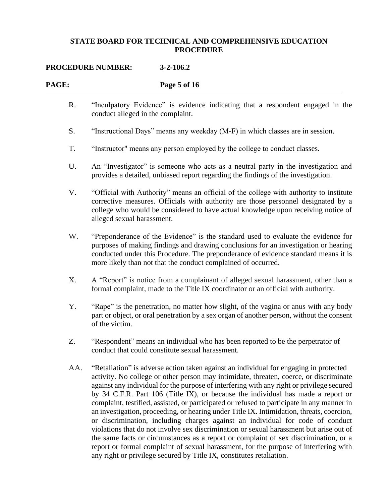## **PROCEDURE NUMBER: 3-2-106.2**

| PAGE: | Page 5 of 16                                                                                                                                                                                                                                                                                                                                                                                                                                                                                                                                                                                                                                                                                                                                                                                                                                                                                                             |
|-------|--------------------------------------------------------------------------------------------------------------------------------------------------------------------------------------------------------------------------------------------------------------------------------------------------------------------------------------------------------------------------------------------------------------------------------------------------------------------------------------------------------------------------------------------------------------------------------------------------------------------------------------------------------------------------------------------------------------------------------------------------------------------------------------------------------------------------------------------------------------------------------------------------------------------------|
| R.    | "Inculpatory Evidence" is evidence indicating that a respondent engaged in the<br>conduct alleged in the complaint.                                                                                                                                                                                                                                                                                                                                                                                                                                                                                                                                                                                                                                                                                                                                                                                                      |
| S.    | "Instructional Days" means any weekday (M-F) in which classes are in session.                                                                                                                                                                                                                                                                                                                                                                                                                                                                                                                                                                                                                                                                                                                                                                                                                                            |
| T.    | "Instructor" means any person employed by the college to conduct classes.                                                                                                                                                                                                                                                                                                                                                                                                                                                                                                                                                                                                                                                                                                                                                                                                                                                |
| U.    | An "Investigator" is someone who acts as a neutral party in the investigation and<br>provides a detailed, unbiased report regarding the findings of the investigation.                                                                                                                                                                                                                                                                                                                                                                                                                                                                                                                                                                                                                                                                                                                                                   |
| V.    | "Official with Authority" means an official of the college with authority to institute<br>corrective measures. Officials with authority are those personnel designated by a<br>college who would be considered to have actual knowledge upon receiving notice of<br>alleged sexual harassment.                                                                                                                                                                                                                                                                                                                                                                                                                                                                                                                                                                                                                           |
| W.    | "Preponderance of the Evidence" is the standard used to evaluate the evidence for<br>purposes of making findings and drawing conclusions for an investigation or hearing<br>conducted under this Procedure. The preponderance of evidence standard means it is<br>more likely than not that the conduct complained of occurred.                                                                                                                                                                                                                                                                                                                                                                                                                                                                                                                                                                                          |
| X.    | A "Report" is notice from a complainant of alleged sexual harassment, other than a<br>formal complaint, made to the Title IX coordinator or an official with authority.                                                                                                                                                                                                                                                                                                                                                                                                                                                                                                                                                                                                                                                                                                                                                  |
| Y.    | "Rape" is the penetration, no matter how slight, of the vagina or anus with any body<br>part or object, or oral penetration by a sex organ of another person, without the consent<br>of the victim.                                                                                                                                                                                                                                                                                                                                                                                                                                                                                                                                                                                                                                                                                                                      |
| Z.    | "Respondent" means an individual who has been reported to be the perpetrator of<br>conduct that could constitute sexual harassment.                                                                                                                                                                                                                                                                                                                                                                                                                                                                                                                                                                                                                                                                                                                                                                                      |
| AA.   | "Retaliation" is adverse action taken against an individual for engaging in protected<br>activity. No college or other person may intimidate, threaten, coerce, or discriminate<br>against any individual for the purpose of interfering with any right or privilege secured<br>by 34 C.F.R. Part 106 (Title IX), or because the individual has made a report or<br>complaint, testified, assisted, or participated or refused to participate in any manner in<br>an investigation, proceeding, or hearing under Title IX. Intimidation, threats, coercion,<br>or discrimination, including charges against an individual for code of conduct<br>violations that do not involve sex discrimination or sexual harassment but arise out of<br>the same facts or circumstances as a report or complaint of sex discrimination, or a<br>report or formal complaint of sexual harassment, for the purpose of interfering with |

any right or privilege secured by Title IX, constitutes retaliation.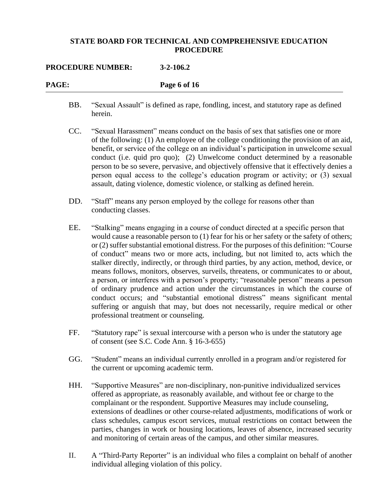#### **PROCEDURE NUMBER: 3-2-106.2**

| PAGE: | Page 6 of 16 |
|-------|--------------|
|       |              |

- BB. "Sexual Assault" is defined as rape, fondling, incest, and statutory rape as defined herein.
- CC. "Sexual Harassment" means conduct on the basis of sex that satisfies one or more of the following: (1) An employee of the college conditioning the provision of an aid, benefit, or service of the college on an individual's participation in unwelcome sexual conduct (i.e. quid pro quo); (2) Unwelcome conduct determined by a reasonable person to be so severe, pervasive, and objectively offensive that it effectively denies a person equal access to the college's education program or activity; or (3) sexual assault, dating violence, domestic violence, or stalking as defined herein.
- DD. "Staff" means any person employed by the college for reasons other than conducting classes.
- EE. "Stalking" means engaging in a course of conduct directed at a specific person that would cause a reasonable person to (1) fear for his or her safety or the safety of others; or (2) suffer substantial emotional distress. For the purposes of this definition: "Course of conduct" means two or more acts, including, but not limited to, acts which the stalker directly, indirectly, or through third parties, by any action, method, device, or means follows, monitors, observes, surveils, threatens, or communicates to or about, a person, or interferes with a person's property; "reasonable person" means a person of ordinary prudence and action under the circumstances in which the course of conduct occurs; and "substantial emotional distress" means significant mental suffering or anguish that may, but does not necessarily, require medical or other professional treatment or counseling.
- FF. "Statutory rape" is sexual intercourse with a person who is under the statutory age of consent (see S.C. Code Ann. § 16-3-655)
- GG. "Student" means an individual currently enrolled in a program and/or registered for the current or upcoming academic term.
- HH. "Supportive Measures" are non-disciplinary, non-punitive individualized services offered as appropriate, as reasonably available, and without fee or charge to the complainant or the respondent. Supportive Measures may include counseling, extensions of deadlines or other course-related adjustments, modifications of work or class schedules, campus escort services, mutual restrictions on contact between the parties, changes in work or housing locations, leaves of absence, increased security and monitoring of certain areas of the campus, and other similar measures.
- II. A "Third-Party Reporter" is an individual who files a complaint on behalf of another individual alleging violation of this policy.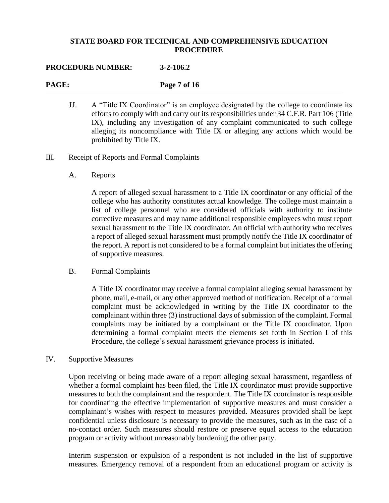#### **PROCEDURE NUMBER: 3-2-106.2**

**PAGE: Page 7 of 16**

- JJ. A "Title IX Coordinator" is an employee designated by the college to coordinate its efforts to comply with and carry out its responsibilities under 34 C.F.R. Part 106 (Title IX), including any investigation of any complaint communicated to such college alleging its noncompliance with Title IX or alleging any actions which would be prohibited by Title IX.
- III. Receipt of Reports and Formal Complaints
	- A. Reports

A report of alleged sexual harassment to a Title IX coordinator or any official of the college who has authority constitutes actual knowledge. The college must maintain a list of college personnel who are considered officials with authority to institute corrective measures and may name additional responsible employees who must report sexual harassment to the Title IX coordinator. An official with authority who receives a report of alleged sexual harassment must promptly notify the Title IX coordinator of the report. A report is not considered to be a formal complaint but initiates the offering of supportive measures.

B. Formal Complaints

A Title IX coordinator may receive a formal complaint alleging sexual harassment by phone, mail, e-mail, or any other approved method of notification. Receipt of a formal complaint must be acknowledged in writing by the Title IX coordinator to the complainant within three (3) instructional days of submission of the complaint. Formal complaints may be initiated by a complainant or the Title IX coordinator. Upon determining a formal complaint meets the elements set forth in Section I of this Procedure, the college's sexual harassment grievance process is initiated.

IV. Supportive Measures

Upon receiving or being made aware of a report alleging sexual harassment, regardless of whether a formal complaint has been filed, the Title IX coordinator must provide supportive measures to both the complainant and the respondent. The Title IX coordinator is responsible for coordinating the effective implementation of supportive measures and must consider a complainant's wishes with respect to measures provided. Measures provided shall be kept confidential unless disclosure is necessary to provide the measures, such as in the case of a no-contact order. Such measures should restore or preserve equal access to the education program or activity without unreasonably burdening the other party.

Interim suspension or expulsion of a respondent is not included in the list of supportive measures. Emergency removal of a respondent from an educational program or activity is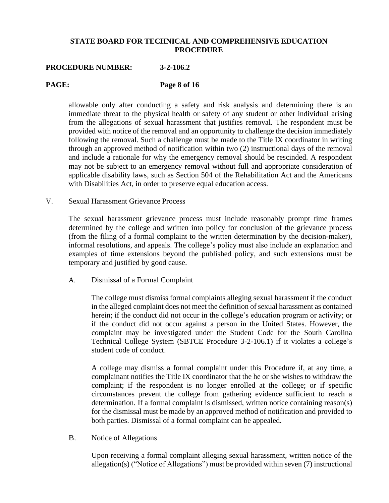#### **PROCEDURE NUMBER: 3-2-106.2**

**PAGE: Page 8 of 16**

allowable only after conducting a safety and risk analysis and determining there is an immediate threat to the physical health or safety of any student or other individual arising from the allegations of sexual harassment that justifies removal. The respondent must be provided with notice of the removal and an opportunity to challenge the decision immediately following the removal. Such a challenge must be made to the Title IX coordinator in writing through an approved method of notification within two (2) instructional days of the removal and include a rationale for why the emergency removal should be rescinded. A respondent may not be subject to an emergency removal without full and appropriate consideration of applicable disability laws, such as Section 504 of the Rehabilitation Act and the Americans with Disabilities Act, in order to preserve equal education access.

#### V. Sexual Harassment Grievance Process

The sexual harassment grievance process must include reasonably prompt time frames determined by the college and written into policy for conclusion of the grievance process (from the filing of a formal complaint to the written determination by the decision-maker), informal resolutions, and appeals. The college's policy must also include an explanation and examples of time extensions beyond the published policy, and such extensions must be temporary and justified by good cause.

A. Dismissal of a Formal Complaint

The college must dismiss formal complaints alleging sexual harassment if the conduct in the alleged complaint does not meet the definition of sexual harassment as contained herein; if the conduct did not occur in the college's education program or activity; or if the conduct did not occur against a person in the United States. However, the complaint may be investigated under the Student Code for the South Carolina Technical College System (SBTCE Procedure 3-2-106.1) if it violates a college's student code of conduct.

A college may dismiss a formal complaint under this Procedure if, at any time, a complainant notifies the Title IX coordinator that the he or she wishes to withdraw the complaint; if the respondent is no longer enrolled at the college; or if specific circumstances prevent the college from gathering evidence sufficient to reach a determination. If a formal complaint is dismissed, written notice containing reason(s) for the dismissal must be made by an approved method of notification and provided to both parties. Dismissal of a formal complaint can be appealed.

B. Notice of Allegations

Upon receiving a formal complaint alleging sexual harassment, written notice of the allegation(s) ("Notice of Allegations") must be provided within seven (7) instructional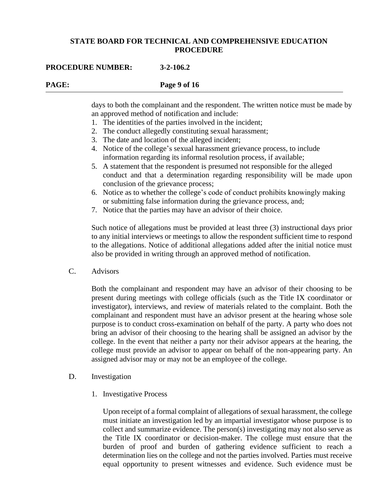#### **PROCEDURE NUMBER: 3-2-106.2**

## **PAGE: Page 9 of 16**

days to both the complainant and the respondent. The written notice must be made by an approved method of notification and include:

- 1. The identities of the parties involved in the incident;
- 2. The conduct allegedly constituting sexual harassment;
- 3. The date and location of the alleged incident;
- 4. Notice of the college's sexual harassment grievance process, to include information regarding its informal resolution process, if available;
- 5. A statement that the respondent is presumed not responsible for the alleged conduct and that a determination regarding responsibility will be made upon conclusion of the grievance process;
- 6. Notice as to whether the college's code of conduct prohibits knowingly making or submitting false information during the grievance process, and;
- 7. Notice that the parties may have an advisor of their choice.

Such notice of allegations must be provided at least three (3) instructional days prior to any initial interviews or meetings to allow the respondent sufficient time to respond to the allegations. Notice of additional allegations added after the initial notice must also be provided in writing through an approved method of notification.

C. Advisors

Both the complainant and respondent may have an advisor of their choosing to be present during meetings with college officials (such as the Title IX coordinator or investigator), interviews, and review of materials related to the complaint. Both the complainant and respondent must have an advisor present at the hearing whose sole purpose is to conduct cross-examination on behalf of the party. A party who does not bring an advisor of their choosing to the hearing shall be assigned an advisor by the college. In the event that neither a party nor their advisor appears at the hearing, the college must provide an advisor to appear on behalf of the non-appearing party. An assigned advisor may or may not be an employee of the college.

- D. Investigation
	- 1. Investigative Process

Upon receipt of a formal complaint of allegations of sexual harassment, the college must initiate an investigation led by an impartial investigator whose purpose is to collect and summarize evidence. The person(s) investigating may not also serve as the Title IX coordinator or decision-maker. The college must ensure that the burden of proof and burden of gathering evidence sufficient to reach a determination lies on the college and not the parties involved. Parties must receive equal opportunity to present witnesses and evidence. Such evidence must be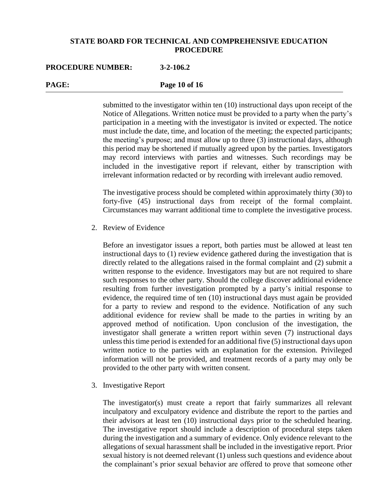#### **PROCEDURE NUMBER: 3-2-106.2**

**PAGE: Page 10 of 16**

submitted to the investigator within ten (10) instructional days upon receipt of the Notice of Allegations. Written notice must be provided to a party when the party's participation in a meeting with the investigator is invited or expected. The notice must include the date, time, and location of the meeting; the expected participants; the meeting's purpose; and must allow up to three (3) instructional days, although this period may be shortened if mutually agreed upon by the parties. Investigators may record interviews with parties and witnesses. Such recordings may be included in the investigative report if relevant, either by transcription with irrelevant information redacted or by recording with irrelevant audio removed.

The investigative process should be completed within approximately thirty (30) to forty-five (45) instructional days from receipt of the formal complaint. Circumstances may warrant additional time to complete the investigative process.

2. Review of Evidence

Before an investigator issues a report, both parties must be allowed at least ten instructional days to (1) review evidence gathered during the investigation that is directly related to the allegations raised in the formal complaint and (2) submit a written response to the evidence. Investigators may but are not required to share such responses to the other party. Should the college discover additional evidence resulting from further investigation prompted by a party's initial response to evidence, the required time of ten (10) instructional days must again be provided for a party to review and respond to the evidence. Notification of any such additional evidence for review shall be made to the parties in writing by an approved method of notification. Upon conclusion of the investigation, the investigator shall generate a written report within seven (7) instructional days unless this time period is extended for an additional five (5) instructional days upon written notice to the parties with an explanation for the extension. Privileged information will not be provided, and treatment records of a party may only be provided to the other party with written consent.

3. Investigative Report

The investigator(s) must create a report that fairly summarizes all relevant inculpatory and exculpatory evidence and distribute the report to the parties and their advisors at least ten (10) instructional days prior to the scheduled hearing. The investigative report should include a description of procedural steps taken during the investigation and a summary of evidence. Only evidence relevant to the allegations of sexual harassment shall be included in the investigative report. Prior sexual history is not deemed relevant (1) unless such questions and evidence about the complainant's prior sexual behavior are offered to prove that someone other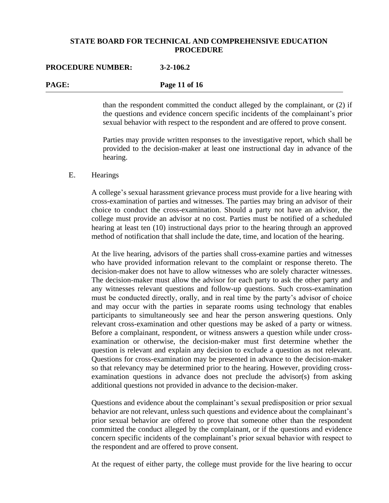#### **PROCEDURE NUMBER: 3-2-106.2**

| <b>PAGE:</b> | Page 11 of 16 |  |
|--------------|---------------|--|
|              |               |  |

than the respondent committed the conduct alleged by the complainant, or (2) if the questions and evidence concern specific incidents of the complainant's prior sexual behavior with respect to the respondent and are offered to prove consent.

Parties may provide written responses to the investigative report, which shall be provided to the decision-maker at least one instructional day in advance of the hearing.

#### E. Hearings

A college's sexual harassment grievance process must provide for a live hearing with cross-examination of parties and witnesses. The parties may bring an advisor of their choice to conduct the cross-examination. Should a party not have an advisor, the college must provide an advisor at no cost. Parties must be notified of a scheduled hearing at least ten (10) instructional days prior to the hearing through an approved method of notification that shall include the date, time, and location of the hearing.

At the live hearing, advisors of the parties shall cross-examine parties and witnesses who have provided information relevant to the complaint or response thereto. The decision-maker does not have to allow witnesses who are solely character witnesses. The decision-maker must allow the advisor for each party to ask the other party and any witnesses relevant questions and follow-up questions. Such cross-examination must be conducted directly, orally, and in real time by the party's advisor of choice and may occur with the parties in separate rooms using technology that enables participants to simultaneously see and hear the person answering questions. Only relevant cross-examination and other questions may be asked of a party or witness. Before a complainant, respondent, or witness answers a question while under crossexamination or otherwise, the decision-maker must first determine whether the question is relevant and explain any decision to exclude a question as not relevant. Questions for cross-examination may be presented in advance to the decision-maker so that relevancy may be determined prior to the hearing. However, providing crossexamination questions in advance does not preclude the advisor(s) from asking additional questions not provided in advance to the decision-maker.

Questions and evidence about the complainant's sexual predisposition or prior sexual behavior are not relevant, unless such questions and evidence about the complainant's prior sexual behavior are offered to prove that someone other than the respondent committed the conduct alleged by the complainant, or if the questions and evidence concern specific incidents of the complainant's prior sexual behavior with respect to the respondent and are offered to prove consent.

At the request of either party, the college must provide for the live hearing to occur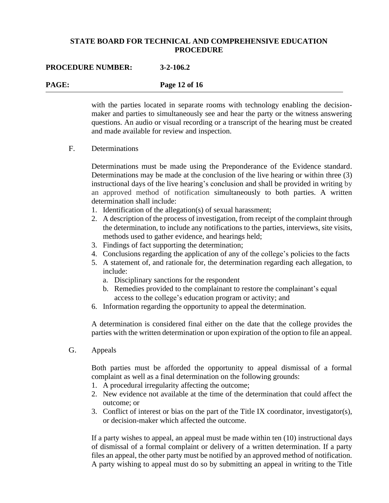#### **PROCEDURE NUMBER: 3-2-106.2**

**PAGE: Page 12 of 16**

with the parties located in separate rooms with technology enabling the decisionmaker and parties to simultaneously see and hear the party or the witness answering questions. An audio or visual recording or a transcript of the hearing must be created and made available for review and inspection.

F. Determinations

Determinations must be made using the Preponderance of the Evidence standard. Determinations may be made at the conclusion of the live hearing or within three (3) instructional days of the live hearing's conclusion and shall be provided in writing by an approved method of notification simultaneously to both parties. A written determination shall include:

- 1. Identification of the allegation(s) of sexual harassment;
- 2. A description of the process of investigation, from receipt of the complaint through the determination, to include any notifications to the parties, interviews, site visits, methods used to gather evidence, and hearings held;
- 3. Findings of fact supporting the determination;
- 4. Conclusions regarding the application of any of the college's policies to the facts
- 5. A statement of, and rationale for, the determination regarding each allegation, to include:
	- a. Disciplinary sanctions for the respondent
	- b. Remedies provided to the complainant to restore the complainant's equal access to the college's education program or activity; and
- 6. Information regarding the opportunity to appeal the determination.

A determination is considered final either on the date that the college provides the parties with the written determination or upon expiration of the option to file an appeal.

G. Appeals

Both parties must be afforded the opportunity to appeal dismissal of a formal complaint as well as a final determination on the following grounds:

- 1. A procedural irregularity affecting the outcome;
- 2. New evidence not available at the time of the determination that could affect the outcome; or
- 3. Conflict of interest or bias on the part of the Title IX coordinator, investigator(s), or decision-maker which affected the outcome.

If a party wishes to appeal, an appeal must be made within ten (10) instructional days of dismissal of a formal complaint or delivery of a written determination. If a party files an appeal, the other party must be notified by an approved method of notification. A party wishing to appeal must do so by submitting an appeal in writing to the Title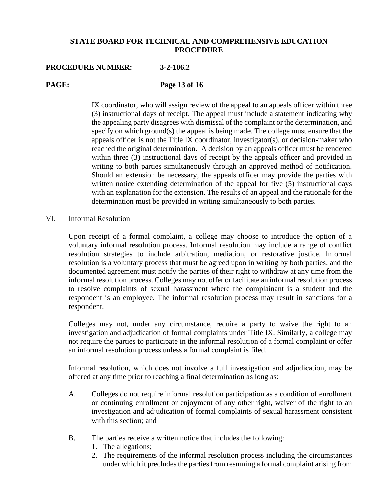#### **PROCEDURE NUMBER: 3-2-106.2**

**PAGE: Page 13 of 16**

IX coordinator, who will assign review of the appeal to an appeals officer within three (3) instructional days of receipt. The appeal must include a statement indicating why the appealing party disagrees with dismissal of the complaint or the determination, and specify on which ground(s) the appeal is being made. The college must ensure that the appeals officer is not the Title IX coordinator, investigator(s), or decision-maker who reached the original determination. A decision by an appeals officer must be rendered within three (3) instructional days of receipt by the appeals officer and provided in writing to both parties simultaneously through an approved method of notification. Should an extension be necessary, the appeals officer may provide the parties with written notice extending determination of the appeal for five (5) instructional days with an explanation for the extension. The results of an appeal and the rationale for the determination must be provided in writing simultaneously to both parties.

#### VI. Informal Resolution

Upon receipt of a formal complaint, a college may choose to introduce the option of a voluntary informal resolution process. Informal resolution may include a range of conflict resolution strategies to include arbitration, mediation, or restorative justice. Informal resolution is a voluntary process that must be agreed upon in writing by both parties, and the documented agreement must notify the parties of their right to withdraw at any time from the informal resolution process. Colleges may not offer or facilitate an informal resolution process to resolve complaints of sexual harassment where the complainant is a student and the respondent is an employee. The informal resolution process may result in sanctions for a respondent.

Colleges may not, under any circumstance, require a party to waive the right to an investigation and adjudication of formal complaints under Title IX. Similarly, a college may not require the parties to participate in the informal resolution of a formal complaint or offer an informal resolution process unless a formal complaint is filed.

Informal resolution, which does not involve a full investigation and adjudication, may be offered at any time prior to reaching a final determination as long as:

- A. Colleges do not require informal resolution participation as a condition of enrollment or continuing enrollment or enjoyment of any other right, waiver of the right to an investigation and adjudication of formal complaints of sexual harassment consistent with this section; and
- B. The parties receive a written notice that includes the following:
	- 1. The allegations;
	- 2. The requirements of the informal resolution process including the circumstances under which it precludes the parties from resuming a formal complaint arising from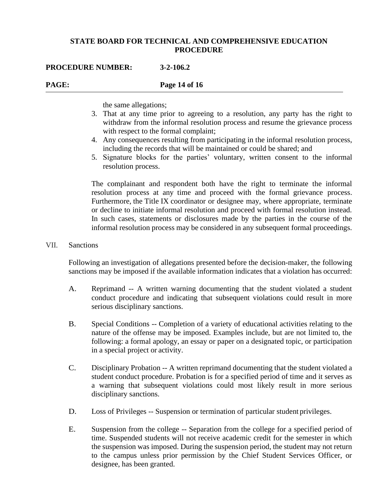#### **PROCEDURE NUMBER: 3-2-106.2**

# **PAGE: Page 14 of 16**

the same allegations;

- 3. That at any time prior to agreeing to a resolution, any party has the right to withdraw from the informal resolution process and resume the grievance process with respect to the formal complaint;
- 4. Any consequences resulting from participating in the informal resolution process, including the records that will be maintained or could be shared; and
- 5. Signature blocks for the parties' voluntary, written consent to the informal resolution process.

The complainant and respondent both have the right to terminate the informal resolution process at any time and proceed with the formal grievance process. Furthermore, the Title IX coordinator or designee may, where appropriate, terminate or decline to initiate informal resolution and proceed with formal resolution instead. In such cases, statements or disclosures made by the parties in the course of the informal resolution process may be considered in any subsequent formal proceedings.

#### VII. Sanctions

Following an investigation of allegations presented before the decision-maker, the following sanctions may be imposed if the available information indicates that a violation has occurred:

- A. Reprimand -- A written warning documenting that the student violated a student conduct procedure and indicating that subsequent violations could result in more serious disciplinary sanctions.
- B. Special Conditions -- Completion of a variety of educational activities relating to the nature of the offense may be imposed. Examples include, but are not limited to, the following: a formal apology, an essay or paper on a designated topic, or participation in a special project or activity.
- C. Disciplinary Probation -- A written reprimand documenting that the student violated a student conduct procedure. Probation is for a specified period of time and it serves as a warning that subsequent violations could most likely result in more serious disciplinary sanctions.
- D. Loss of Privileges -- Suspension or termination of particular student privileges.
- E. Suspension from the college -- Separation from the college for a specified period of time. Suspended students will not receive academic credit for the semester in which the suspension was imposed. During the suspension period, the student may not return to the campus unless prior permission by the Chief Student Services Officer, or designee, has been granted.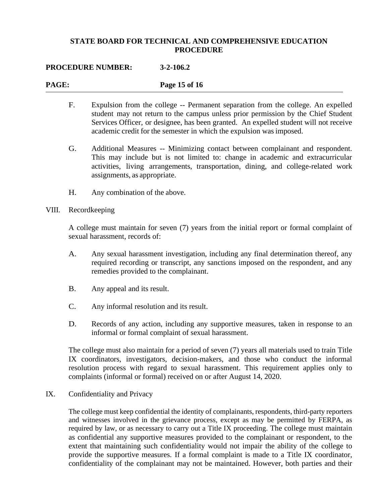#### **PROCEDURE NUMBER: 3-2-106.2**

# **PAGE: Page 15 of 16** F. Expulsion from the college -- Permanent separation from the college. An expelled student may not return to the campus unless prior permission by the Chief Student Services Officer, or designee, has been granted. An expelled student will not receive academic credit for the semester in which the expulsion was imposed. G. Additional Measures -- Minimizing contact between complainant and respondent. This may include but is not limited to: change in academic and extracurricular activities, living arrangements, transportation, dining, and college-related work

H. Any combination of the above.

assignments, as appropriate.

#### VIII. Recordkeeping

A college must maintain for seven (7) years from the initial report or formal complaint of sexual harassment, records of:

- A. Any sexual harassment investigation, including any final determination thereof, any required recording or transcript, any sanctions imposed on the respondent, and any remedies provided to the complainant.
- B. Any appeal and its result.
- C. Any informal resolution and its result.
- D. Records of any action, including any supportive measures, taken in response to an informal or formal complaint of sexual harassment.

The college must also maintain for a period of seven (7) years all materials used to train Title IX coordinators, investigators, decision-makers, and those who conduct the informal resolution process with regard to sexual harassment. This requirement applies only to complaints (informal or formal) received on or after August 14, 2020.

#### IX. Confidentiality and Privacy

The college must keep confidential the identity of complainants, respondents, third-party reporters and witnesses involved in the grievance process, except as may be permitted by FERPA, as required by law, or as necessary to carry out a Title IX proceeding. The college must maintain as confidential any supportive measures provided to the complainant or respondent, to the extent that maintaining such confidentiality would not impair the ability of the college to provide the supportive measures. If a formal complaint is made to a Title IX coordinator, confidentiality of the complainant may not be maintained. However, both parties and their